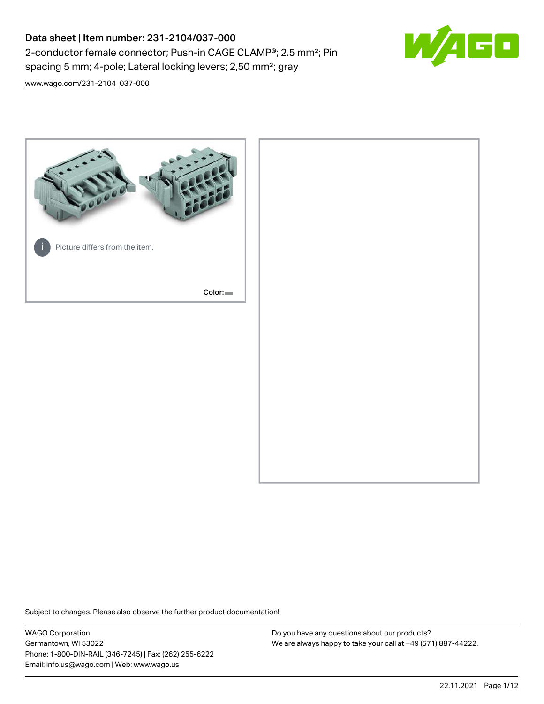# Data sheet | Item number: 231-2104/037-000 2-conductor female connector; Push-in CAGE CLAMP®; 2.5 mm²; Pin spacing 5 mm; 4-pole; Lateral locking levers; 2,50 mm²; gray



[www.wago.com/231-2104\\_037-000](http://www.wago.com/231-2104_037-000)



Subject to changes. Please also observe the further product documentation!

WAGO Corporation Germantown, WI 53022 Phone: 1-800-DIN-RAIL (346-7245) | Fax: (262) 255-6222 Email: info.us@wago.com | Web: www.wago.us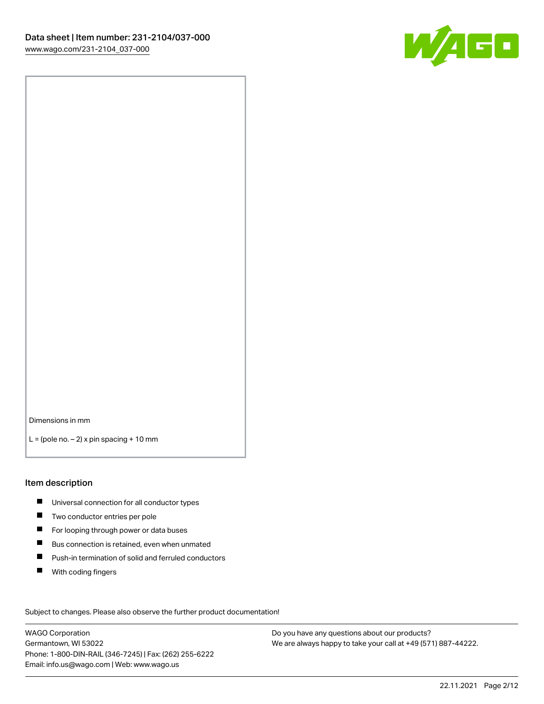

Dimensions in mm

 $L =$  (pole no.  $-2$ ) x pin spacing + 10 mm

#### Item description

- **Universal connection for all conductor types**
- **Two conductor entries per pole**
- $\blacksquare$ For looping through power or data buses
- $\blacksquare$ Bus connection is retained, even when unmated
- $\blacksquare$ Push-in termination of solid and ferruled conductors
- $\blacksquare$ With coding fingers

Subject to changes. Please also observe the further product documentation! Data

WAGO Corporation Germantown, WI 53022 Phone: 1-800-DIN-RAIL (346-7245) | Fax: (262) 255-6222 Email: info.us@wago.com | Web: www.wago.us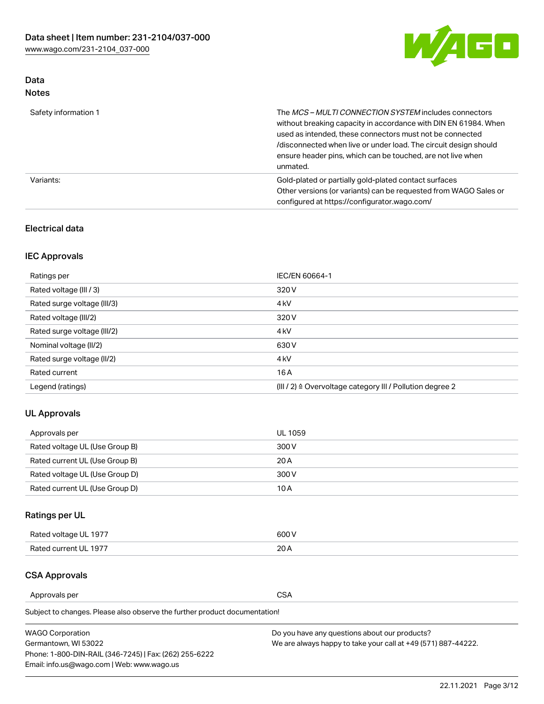

## Data Notes

| Safety information 1 | The MCS-MULTI CONNECTION SYSTEM includes connectors<br>without breaking capacity in accordance with DIN EN 61984. When<br>used as intended, these connectors must not be connected<br>/disconnected when live or under load. The circuit design should<br>ensure header pins, which can be touched, are not live when<br>unmated. |
|----------------------|-----------------------------------------------------------------------------------------------------------------------------------------------------------------------------------------------------------------------------------------------------------------------------------------------------------------------------------|
| Variants:            | Gold-plated or partially gold-plated contact surfaces<br>Other versions (or variants) can be requested from WAGO Sales or<br>configured at https://configurator.wago.com/                                                                                                                                                         |

### Electrical data

## IEC Approvals

| Ratings per                 | IEC/EN 60664-1                                                        |
|-----------------------------|-----------------------------------------------------------------------|
| Rated voltage (III / 3)     | 320 V                                                                 |
| Rated surge voltage (III/3) | 4 <sub>k</sub> V                                                      |
| Rated voltage (III/2)       | 320 V                                                                 |
| Rated surge voltage (III/2) | 4 <sub>k</sub> V                                                      |
| Nominal voltage (II/2)      | 630 V                                                                 |
| Rated surge voltage (II/2)  | 4 <sub>k</sub> V                                                      |
| Rated current               | 16A                                                                   |
| Legend (ratings)            | $(III / 2)$ $\triangle$ Overvoltage category III / Pollution degree 2 |

### UL Approvals

| Approvals per                  | UL 1059 |
|--------------------------------|---------|
| Rated voltage UL (Use Group B) | 300 V   |
| Rated current UL (Use Group B) | 20 A    |
| Rated voltage UL (Use Group D) | 300 V   |
| Rated current UL (Use Group D) | 10 A    |

## Ratings per UL

| Rated voltage UL 1977 | 600 V |
|-----------------------|-------|
| Rated current UL 1977 | nn.   |

#### CSA Approvals

Approvals per CSA

Subject to changes. Please also observe the further product documentation!

| <b>WAGO Corporation</b>                                | Do you have any questions about our products?                 |
|--------------------------------------------------------|---------------------------------------------------------------|
| Germantown, WI 53022                                   | We are always happy to take your call at +49 (571) 887-44222. |
| Phone: 1-800-DIN-RAIL (346-7245)   Fax: (262) 255-6222 |                                                               |
| Email: info.us@wago.com   Web: www.wago.us             |                                                               |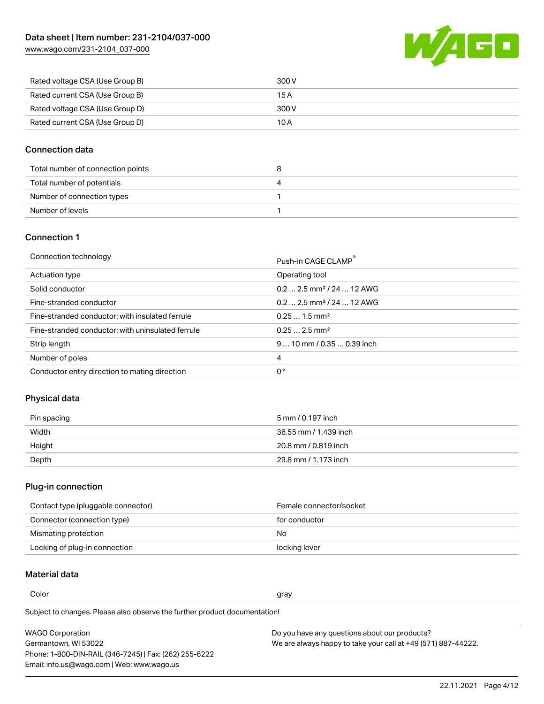[www.wago.com/231-2104\\_037-000](http://www.wago.com/231-2104_037-000)



| Rated voltage CSA (Use Group B) | 300 V |
|---------------------------------|-------|
| Rated current CSA (Use Group B) | 15 A  |
| Rated voltage CSA (Use Group D) | 300 V |
| Rated current CSA (Use Group D) | 10 A  |

### Connection data

| Total number of connection points | o |
|-----------------------------------|---|
| Total number of potentials        | 4 |
| Number of connection types        |   |
| Number of levels                  |   |

#### Connection 1

| Connection technology |  |
|-----------------------|--|
|-----------------------|--|

| Connection technology                             | Push-in CAGE CLAMP®                   |
|---------------------------------------------------|---------------------------------------|
| Actuation type                                    | Operating tool                        |
| Solid conductor                                   | $0.22.5$ mm <sup>2</sup> / 24  12 AWG |
| Fine-stranded conductor                           | $0.22.5$ mm <sup>2</sup> / 24  12 AWG |
| Fine-stranded conductor; with insulated ferrule   | $0.251.5$ mm <sup>2</sup>             |
| Fine-stranded conductor; with uninsulated ferrule | $0.252.5$ mm <sup>2</sup>             |
| Strip length                                      | $910$ mm / 0.35  0.39 inch            |
| Number of poles                                   | 4                                     |
| Conductor entry direction to mating direction     | 0°                                    |

### Physical data

| Pin spacing | 5 mm / 0.197 inch     |
|-------------|-----------------------|
| Width       | 36.55 mm / 1.439 inch |
| Height      | 20.8 mm / 0.819 inch  |
| Depth       | 29.8 mm / 1.173 inch  |

## Plug-in connection

| Contact type (pluggable connector) | Female connector/socket |
|------------------------------------|-------------------------|
| Connector (connection type)        | for conductor           |
| Mismating protection               | No.                     |
| Locking of plug-in connection      | locking lever           |

## Material data

Color and the color of the color of the color of the color of the color of the color of the color of the color

Subject to changes. Please also observe the further product documentation! Material group I

| <b>WAGO Corporation</b>                                | Do you have any questions about our products?                 |
|--------------------------------------------------------|---------------------------------------------------------------|
| Germantown, WI 53022                                   | We are always happy to take your call at +49 (571) 887-44222. |
| Phone: 1-800-DIN-RAIL (346-7245)   Fax: (262) 255-6222 |                                                               |
| Email: info.us@wago.com   Web: www.wago.us             |                                                               |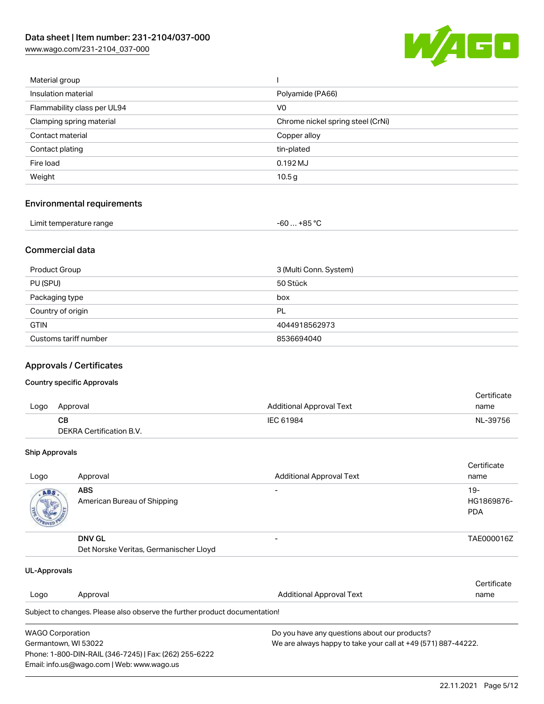[www.wago.com/231-2104\\_037-000](http://www.wago.com/231-2104_037-000)



| Material group              |                                   |
|-----------------------------|-----------------------------------|
| Insulation material         | Polyamide (PA66)                  |
| Flammability class per UL94 | V0                                |
| Clamping spring material    | Chrome nickel spring steel (CrNi) |
| Contact material            | Copper alloy                      |
| Contact plating             | tin-plated                        |
| Fire load                   | $0.192$ MJ                        |
| Weight                      | 10.5 <sub>g</sub>                 |
|                             |                                   |

### Environmental requirements

| Limit temperature range | $-60+85 °C$ |  |
|-------------------------|-------------|--|
|-------------------------|-------------|--|

#### Commercial data

| Product Group         | 3 (Multi Conn. System) |
|-----------------------|------------------------|
| PU (SPU)              | 50 Stück               |
| Packaging type        | box                    |
| Country of origin     | PL                     |
| <b>GTIN</b>           | 4044918562973          |
| Customs tariff number | 8536694040             |

#### Approvals / Certificates

#### Country specific Approvals

|      |                          |                                 | Certificate |
|------|--------------------------|---------------------------------|-------------|
| Logo | Approval                 | <b>Additional Approval Text</b> | name        |
|      | CВ                       | IEC 61984                       | NL-39756    |
|      | DEKRA Certification B.V. |                                 |             |

#### Ship Approvals

| Logo | Approval                                                | <b>Additional Approval Text</b> | Certificate<br>name                |
|------|---------------------------------------------------------|---------------------------------|------------------------------------|
| ABS  | <b>ABS</b><br>American Bureau of Shipping               | $\overline{\phantom{0}}$        | $19 -$<br>HG1869876-<br><b>PDA</b> |
|      | <b>DNV GL</b><br>Det Norske Veritas, Germanischer Lloyd | $\overline{\phantom{0}}$        | TAE000016Z                         |

| UL-Approvals                                                                          |                                                                            |                                               |             |
|---------------------------------------------------------------------------------------|----------------------------------------------------------------------------|-----------------------------------------------|-------------|
|                                                                                       |                                                                            |                                               | Certificate |
| Logo                                                                                  | Approval                                                                   | Additional Approval Text                      | name        |
|                                                                                       | Subject to changes. Please also observe the further product documentation! |                                               |             |
| <b>WAGO Corporation</b>                                                               |                                                                            | Do you have any questions about our products? |             |
| We are always happy to take your call at +49 (571) 887-44222.<br>Germantown, WI 53022 |                                                                            |                                               |             |
|                                                                                       | Phone: 1-800-DIN-RAIL (346-7245)   Fax: (262) 255-6222                     |                                               |             |
|                                                                                       | Email: info.us@wago.com   Web: www.wago.us                                 |                                               |             |

22.11.2021 Page 5/12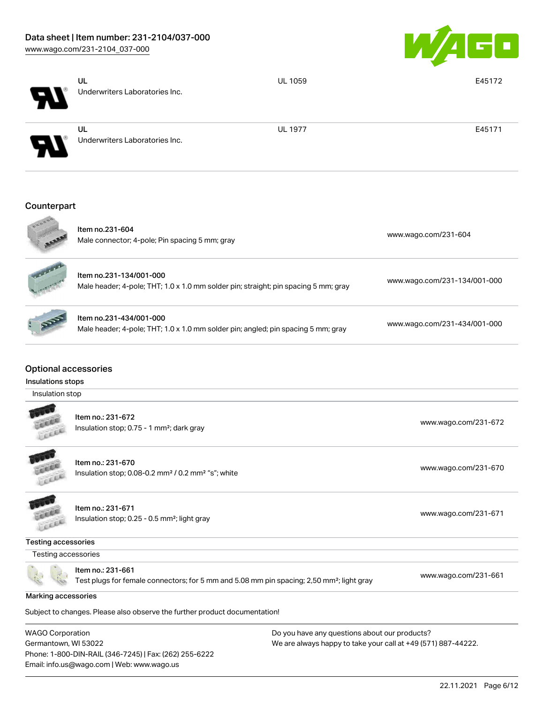Email: info.us@wago.com | Web: www.wago.us



|                                                                     | UL<br>Underwriters Laboratories Inc.                                                                                       | <b>UL 1059</b>                                                                                                 | E45172                       |
|---------------------------------------------------------------------|----------------------------------------------------------------------------------------------------------------------------|----------------------------------------------------------------------------------------------------------------|------------------------------|
|                                                                     | <b>UL</b><br>Underwriters Laboratories Inc.                                                                                | <b>UL 1977</b>                                                                                                 | E45171                       |
| Counterpart                                                         |                                                                                                                            |                                                                                                                |                              |
|                                                                     | Item no.231-604<br>Male connector; 4-pole; Pin spacing 5 mm; gray                                                          |                                                                                                                | www.wago.com/231-604         |
|                                                                     | Item no.231-134/001-000<br>Male header; 4-pole; THT; 1.0 x 1.0 mm solder pin; straight; pin spacing 5 mm; gray             |                                                                                                                | www.wago.com/231-134/001-000 |
|                                                                     | Item no.231-434/001-000<br>Male header; 4-pole; THT; 1.0 x 1.0 mm solder pin; angled; pin spacing 5 mm; gray               |                                                                                                                | www.wago.com/231-434/001-000 |
| <b>Optional accessories</b><br>Insulations stops<br>Insulation stop |                                                                                                                            |                                                                                                                |                              |
|                                                                     | Item no.: 231-672<br>Insulation stop; 0.75 - 1 mm <sup>2</sup> ; dark gray                                                 |                                                                                                                | www.wago.com/231-672         |
| icce                                                                | Item no.: 231-670<br>Insulation stop; 0.08-0.2 mm <sup>2</sup> / 0.2 mm <sup>2</sup> "s"; white                            |                                                                                                                | www.wago.com/231-670         |
|                                                                     | Item no.: 231-671<br>Insulation stop; 0.25 - 0.5 mm <sup>2</sup> ; light gray                                              |                                                                                                                | www.wago.com/231-671         |
| Testing accessories                                                 |                                                                                                                            |                                                                                                                |                              |
| Testing accessories                                                 |                                                                                                                            |                                                                                                                |                              |
|                                                                     | Item no.: 231-661<br>Test plugs for female connectors; for 5 mm and 5.08 mm pin spacing; 2,50 mm <sup>2</sup> ; light gray |                                                                                                                | www.wago.com/231-661         |
| Marking accessories                                                 |                                                                                                                            |                                                                                                                |                              |
|                                                                     | Subject to changes. Please also observe the further product documentation!                                                 |                                                                                                                |                              |
| <b>WAGO Corporation</b><br>Germantown, WI 53022                     | Phone: 1-800-DIN-RAIL (346-7245)   Fax: (262) 255-6222                                                                     | Do you have any questions about our products?<br>We are always happy to take your call at +49 (571) 887-44222. |                              |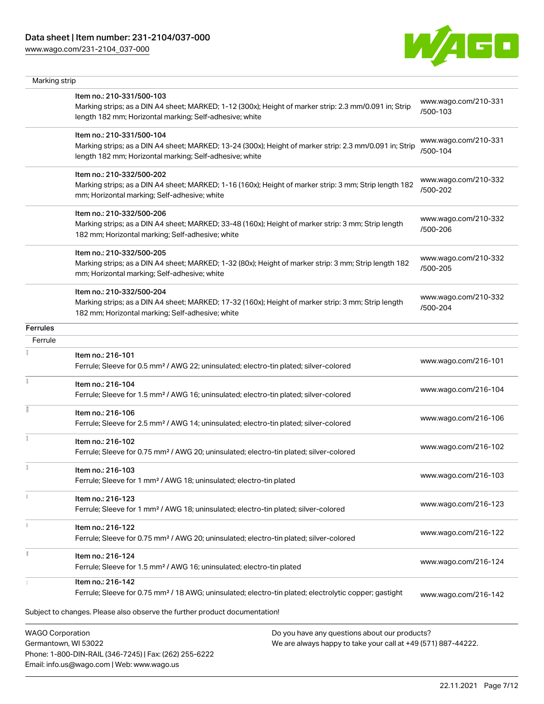Phone: 1-800-DIN-RAIL (346-7245) | Fax: (262) 255-6222

Email: info.us@wago.com | Web: www.wago.us

[www.wago.com/231-2104\\_037-000](http://www.wago.com/231-2104_037-000)



| Marking strip           |                                                                                                                                                                    |                                                               |                                  |
|-------------------------|--------------------------------------------------------------------------------------------------------------------------------------------------------------------|---------------------------------------------------------------|----------------------------------|
|                         | Item no.: 210-331/500-103                                                                                                                                          |                                                               |                                  |
|                         | Marking strips; as a DIN A4 sheet; MARKED; 1-12 (300x); Height of marker strip: 2.3 mm/0.091 in; Strip<br>length 182 mm; Horizontal marking; Self-adhesive; white  |                                                               | www.wago.com/210-331<br>/500-103 |
|                         | Item no.: 210-331/500-104                                                                                                                                          |                                                               | www.wago.com/210-331             |
|                         | Marking strips; as a DIN A4 sheet; MARKED; 13-24 (300x); Height of marker strip: 2.3 mm/0.091 in; Strip<br>length 182 mm; Horizontal marking; Self-adhesive; white |                                                               | /500-104                         |
|                         | Item no.: 210-332/500-202                                                                                                                                          |                                                               | www.wago.com/210-332             |
|                         | Marking strips; as a DIN A4 sheet; MARKED; 1-16 (160x); Height of marker strip: 3 mm; Strip length 182<br>mm; Horizontal marking; Self-adhesive; white             |                                                               | /500-202                         |
|                         | Item no.: 210-332/500-206                                                                                                                                          |                                                               | www.wago.com/210-332             |
|                         | Marking strips; as a DIN A4 sheet; MARKED; 33-48 (160x); Height of marker strip: 3 mm; Strip length<br>182 mm; Horizontal marking; Self-adhesive; white            |                                                               | /500-206                         |
|                         | Item no.: 210-332/500-205                                                                                                                                          |                                                               | www.wago.com/210-332             |
|                         | Marking strips; as a DIN A4 sheet; MARKED; 1-32 (80x); Height of marker strip: 3 mm; Strip length 182<br>mm; Horizontal marking; Self-adhesive; white              |                                                               | /500-205                         |
|                         | Item no.: 210-332/500-204                                                                                                                                          |                                                               | www.wago.com/210-332             |
|                         | Marking strips; as a DIN A4 sheet; MARKED; 17-32 (160x); Height of marker strip: 3 mm; Strip length<br>182 mm; Horizontal marking; Self-adhesive; white            |                                                               | /500-204                         |
| <b>Ferrules</b>         |                                                                                                                                                                    |                                                               |                                  |
| Ferrule                 |                                                                                                                                                                    |                                                               |                                  |
|                         | Item no.: 216-101<br>Ferrule; Sleeve for 0.5 mm <sup>2</sup> / AWG 22; uninsulated; electro-tin plated; silver-colored                                             |                                                               | www.wago.com/216-101             |
| Ť.                      | Item no.: 216-104<br>Ferrule; Sleeve for 1.5 mm <sup>2</sup> / AWG 16; uninsulated; electro-tin plated; silver-colored                                             |                                                               | www.wago.com/216-104             |
|                         |                                                                                                                                                                    |                                                               |                                  |
|                         | Item no.: 216-106<br>Ferrule; Sleeve for 2.5 mm <sup>2</sup> / AWG 14; uninsulated; electro-tin plated; silver-colored                                             |                                                               | www.wago.com/216-106             |
|                         | Item no.: 216-102<br>Ferrule; Sleeve for 0.75 mm <sup>2</sup> / AWG 20; uninsulated; electro-tin plated; silver-colored                                            |                                                               | www.wago.com/216-102             |
|                         | Item no.: 216-103                                                                                                                                                  |                                                               |                                  |
|                         | Ferrule; Sleeve for 1 mm <sup>2</sup> / AWG 18; uninsulated; electro-tin plated                                                                                    |                                                               | www.wago.com/216-103             |
|                         | Item no.: 216-123<br>Ferrule; Sleeve for 1 mm <sup>2</sup> / AWG 18; uninsulated; electro-tin plated; silver-colored                                               |                                                               | www.wago.com/216-123             |
|                         | Item no.: 216-122                                                                                                                                                  |                                                               | www.wago.com/216-122             |
|                         | Ferrule; Sleeve for 0.75 mm <sup>2</sup> / AWG 20; uninsulated; electro-tin plated; silver-colored                                                                 |                                                               |                                  |
|                         | Item no.: 216-124<br>Ferrule; Sleeve for 1.5 mm <sup>2</sup> / AWG 16; uninsulated; electro-tin plated                                                             |                                                               | www.wago.com/216-124             |
|                         | Item no.: 216-142<br>Ferrule; Sleeve for 0.75 mm <sup>2</sup> / 18 AWG; uninsulated; electro-tin plated; electrolytic copper; gastight                             |                                                               | www.wago.com/216-142             |
|                         | Subject to changes. Please also observe the further product documentation!                                                                                         |                                                               |                                  |
| <b>WAGO Corporation</b> |                                                                                                                                                                    | Do you have any questions about our products?                 |                                  |
| Germantown, WI 53022    |                                                                                                                                                                    | We are always happy to take your call at +49 (571) 887-44222. |                                  |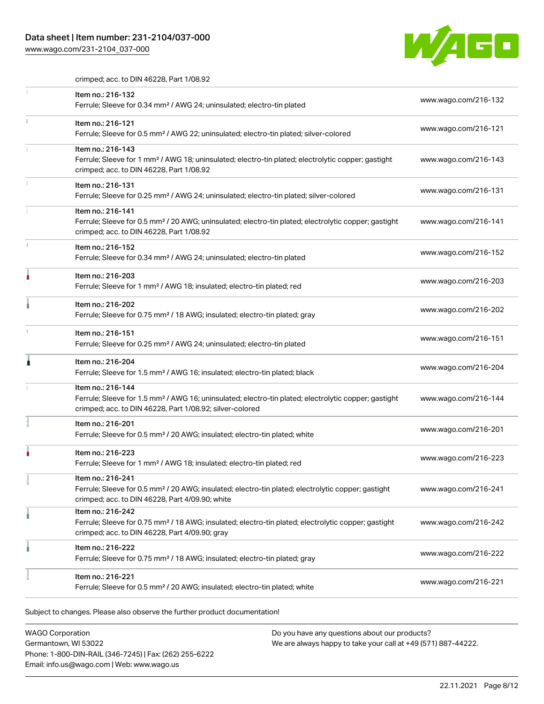## Data sheet | Item number: 231-2104/037-000

[www.wago.com/231-2104\\_037-000](http://www.wago.com/231-2104_037-000)



crimped; acc. to DIN 46228, Part 1/08.92

|   | Item no.: 216-132<br>Ferrule; Sleeve for 0.34 mm <sup>2</sup> / AWG 24; uninsulated; electro-tin plated                                                                                           | www.wago.com/216-132 |
|---|---------------------------------------------------------------------------------------------------------------------------------------------------------------------------------------------------|----------------------|
|   | Item no.: 216-121<br>Ferrule; Sleeve for 0.5 mm <sup>2</sup> / AWG 22; uninsulated; electro-tin plated; silver-colored                                                                            | www.wago.com/216-121 |
|   | Item no.: 216-143<br>Ferrule; Sleeve for 1 mm <sup>2</sup> / AWG 18; uninsulated; electro-tin plated; electrolytic copper; gastight<br>crimped; acc. to DIN 46228, Part 1/08.92                   | www.wago.com/216-143 |
| 1 | Item no.: 216-131<br>Ferrule; Sleeve for 0.25 mm <sup>2</sup> / AWG 24; uninsulated; electro-tin plated; silver-colored                                                                           | www.wago.com/216-131 |
|   | Item no.: 216-141<br>Ferrule; Sleeve for 0.5 mm <sup>2</sup> / 20 AWG; uninsulated; electro-tin plated; electrolytic copper; gastight<br>crimped; acc. to DIN 46228, Part 1/08.92                 | www.wago.com/216-141 |
|   | Item no.: 216-152<br>Ferrule; Sleeve for 0.34 mm <sup>2</sup> / AWG 24; uninsulated; electro-tin plated                                                                                           | www.wago.com/216-152 |
|   | Item no.: 216-203<br>Ferrule; Sleeve for 1 mm <sup>2</sup> / AWG 18; insulated; electro-tin plated; red                                                                                           | www.wago.com/216-203 |
|   | Item no.: 216-202<br>Ferrule; Sleeve for 0.75 mm <sup>2</sup> / 18 AWG; insulated; electro-tin plated; gray                                                                                       | www.wago.com/216-202 |
|   | Item no.: 216-151<br>Ferrule; Sleeve for 0.25 mm <sup>2</sup> / AWG 24; uninsulated; electro-tin plated                                                                                           | www.wago.com/216-151 |
| Â | Item no.: 216-204<br>Ferrule; Sleeve for 1.5 mm <sup>2</sup> / AWG 16; insulated; electro-tin plated; black                                                                                       | www.wago.com/216-204 |
|   | Item no.: 216-144<br>Ferrule; Sleeve for 1.5 mm <sup>2</sup> / AWG 16; uninsulated; electro-tin plated; electrolytic copper; gastight<br>crimped; acc. to DIN 46228, Part 1/08.92; silver-colored | www.wago.com/216-144 |
|   | Item no.: 216-201<br>Ferrule; Sleeve for 0.5 mm <sup>2</sup> / 20 AWG; insulated; electro-tin plated; white                                                                                       | www.wago.com/216-201 |
|   | Item no.: 216-223<br>Ferrule; Sleeve for 1 mm <sup>2</sup> / AWG 18; insulated; electro-tin plated; red                                                                                           | www.wago.com/216-223 |
|   | Item no.: 216-241<br>Ferrule; Sleeve for 0.5 mm <sup>2</sup> / 20 AWG; insulated; electro-tin plated; electrolytic copper; gastight<br>crimped; acc. to DIN 46228, Part 4/09.90; white            | www.wago.com/216-241 |
|   | Item no.: 216-242<br>Ferrule; Sleeve for 0.75 mm <sup>2</sup> / 18 AWG; insulated; electro-tin plated; electrolytic copper; gastight<br>crimped; acc. to DIN 46228, Part 4/09.90; gray            | www.wago.com/216-242 |
|   | Item no.: 216-222<br>Ferrule; Sleeve for 0.75 mm <sup>2</sup> / 18 AWG; insulated; electro-tin plated; gray                                                                                       | www.wago.com/216-222 |
|   | Item no.: 216-221<br>Ferrule; Sleeve for 0.5 mm <sup>2</sup> / 20 AWG; insulated; electro-tin plated; white                                                                                       | www.wago.com/216-221 |

Subject to changes. Please also observe the further product documentation!

WAGO Corporation Germantown, WI 53022 Phone: 1-800-DIN-RAIL (346-7245) | Fax: (262) 255-6222 Email: info.us@wago.com | Web: www.wago.us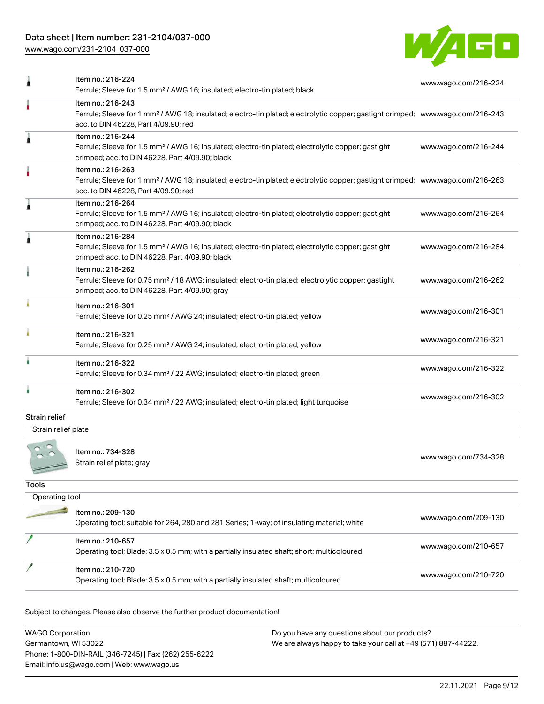## Data sheet | Item number: 231-2104/037-000

[www.wago.com/231-2104\\_037-000](http://www.wago.com/231-2104_037-000)



| Item no.: 216-224<br>Ferrule; Sleeve for 1.5 mm <sup>2</sup> / AWG 16; insulated; electro-tin plated; black                                                                            | www.wago.com/216-224                                                                                                                                                                                                                                                                                                              |
|----------------------------------------------------------------------------------------------------------------------------------------------------------------------------------------|-----------------------------------------------------------------------------------------------------------------------------------------------------------------------------------------------------------------------------------------------------------------------------------------------------------------------------------|
| Item no.: 216-243<br>acc. to DIN 46228, Part 4/09.90; red                                                                                                                              |                                                                                                                                                                                                                                                                                                                                   |
| Item no.: 216-244<br>Ferrule; Sleeve for 1.5 mm <sup>2</sup> / AWG 16; insulated; electro-tin plated; electrolytic copper; gastight<br>crimped; acc. to DIN 46228, Part 4/09.90; black | www.wago.com/216-244                                                                                                                                                                                                                                                                                                              |
| Item no.: 216-263<br>acc. to DIN 46228, Part 4/09.90; red                                                                                                                              |                                                                                                                                                                                                                                                                                                                                   |
| Item no.: 216-264<br>Ferrule; Sleeve for 1.5 mm <sup>2</sup> / AWG 16; insulated; electro-tin plated; electrolytic copper; gastight<br>crimped; acc. to DIN 46228, Part 4/09.90; black | www.wago.com/216-264                                                                                                                                                                                                                                                                                                              |
| Item no.: 216-284<br>Ferrule; Sleeve for 1.5 mm <sup>2</sup> / AWG 16; insulated; electro-tin plated; electrolytic copper; gastight<br>crimped; acc. to DIN 46228, Part 4/09.90; black | www.wago.com/216-284                                                                                                                                                                                                                                                                                                              |
| Item no.: 216-262<br>Ferrule; Sleeve for 0.75 mm <sup>2</sup> / 18 AWG; insulated; electro-tin plated; electrolytic copper; gastight<br>crimped; acc. to DIN 46228, Part 4/09.90; gray | www.wago.com/216-262                                                                                                                                                                                                                                                                                                              |
| Item no.: 216-301<br>Ferrule; Sleeve for 0.25 mm <sup>2</sup> / AWG 24; insulated; electro-tin plated; yellow                                                                          | www.wago.com/216-301                                                                                                                                                                                                                                                                                                              |
| Item no.: 216-321<br>Ferrule; Sleeve for 0.25 mm <sup>2</sup> / AWG 24; insulated; electro-tin plated; yellow                                                                          | www.wago.com/216-321                                                                                                                                                                                                                                                                                                              |
| Item no.: 216-322<br>Ferrule; Sleeve for 0.34 mm <sup>2</sup> / 22 AWG; insulated; electro-tin plated; green                                                                           | www.wago.com/216-322                                                                                                                                                                                                                                                                                                              |
| Item no.: 216-302<br>Ferrule; Sleeve for 0.34 mm <sup>2</sup> / 22 AWG; insulated; electro-tin plated; light turquoise                                                                 | www.wago.com/216-302                                                                                                                                                                                                                                                                                                              |
|                                                                                                                                                                                        |                                                                                                                                                                                                                                                                                                                                   |
| Item no.: 734-328<br>Strain relief plate; gray                                                                                                                                         | www.wago.com/734-328                                                                                                                                                                                                                                                                                                              |
|                                                                                                                                                                                        |                                                                                                                                                                                                                                                                                                                                   |
|                                                                                                                                                                                        |                                                                                                                                                                                                                                                                                                                                   |
| Item no.: 209-130<br>Operating tool; suitable for 264, 280 and 281 Series; 1-way; of insulating material; white                                                                        | www.wago.com/209-130                                                                                                                                                                                                                                                                                                              |
| Item no.: 210-657<br>Operating tool; Blade: 3.5 x 0.5 mm; with a partially insulated shaft; short; multicoloured                                                                       | www.wago.com/210-657                                                                                                                                                                                                                                                                                                              |
| Item no.: 210-720<br>Operating tool; Blade: 3.5 x 0.5 mm; with a partially insulated shaft; multicoloured                                                                              | www.wago.com/210-720                                                                                                                                                                                                                                                                                                              |
|                                                                                                                                                                                        | Ferrule; Sleeve for 1 mm <sup>2</sup> / AWG 18; insulated; electro-tin plated; electrolytic copper; gastight crimped; www.wago.com/216-243<br>Ferrule; Sleeve for 1 mm <sup>2</sup> / AWG 18; insulated; electro-tin plated; electrolytic copper; gastight crimped; www.wago.com/216-263<br>Strain relief plate<br>Operating tool |

Subject to changes. Please also observe the further product documentation!

| <b>WAGO Corporation</b>                                | Do you have any questions about our products?                 |
|--------------------------------------------------------|---------------------------------------------------------------|
| Germantown, WI 53022                                   | We are always happy to take your call at +49 (571) 887-44222. |
| Phone: 1-800-DIN-RAIL (346-7245)   Fax: (262) 255-6222 |                                                               |
| Email: info.us@wago.com   Web: www.wago.us             |                                                               |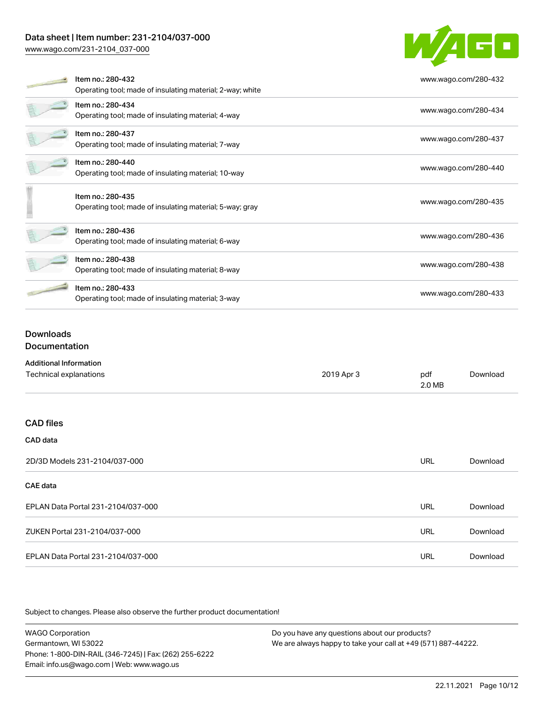## Data sheet | Item number: 231-2104/037-000

[www.wago.com/231-2104\\_037-000](http://www.wago.com/231-2104_037-000)



| Item no.: 280-432<br>Operating tool; made of insulating material; 2-way; white | www.wago.com/280-432 |
|--------------------------------------------------------------------------------|----------------------|
| Item no.: 280-434<br>Operating tool; made of insulating material; 4-way        | www.wago.com/280-434 |
| Item no.: 280-437<br>Operating tool; made of insulating material; 7-way        | www.wago.com/280-437 |
| Item no.: 280-440<br>Operating tool; made of insulating material; 10-way       | www.wago.com/280-440 |
| Item no.: 280-435<br>Operating tool; made of insulating material; 5-way; gray  | www.wago.com/280-435 |
| Item no.: 280-436<br>Operating tool; made of insulating material; 6-way        | www.wago.com/280-436 |
| Item no.: 280-438<br>Operating tool; made of insulating material; 8-way        | www.wago.com/280-438 |
| Item no.: 280-433<br>Operating tool; made of insulating material; 3-way        | www.wago.com/280-433 |

### **Downloads** Documentation

| <b>Additional Information</b>      |            | pdf<br>2.0 MB | Download |
|------------------------------------|------------|---------------|----------|
| Technical explanations             | 2019 Apr 3 |               |          |
|                                    |            |               |          |
| <b>CAD files</b>                   |            |               |          |
| CAD data                           |            |               |          |
| 2D/3D Models 231-2104/037-000      |            | <b>URL</b>    | Download |
| <b>CAE</b> data                    |            |               |          |
| EPLAN Data Portal 231-2104/037-000 |            | <b>URL</b>    | Download |
| ZUKEN Portal 231-2104/037-000      |            | <b>URL</b>    | Download |
| EPLAN Data Portal 231-2104/037-000 |            | <b>URL</b>    | Download |

Subject to changes. Please also observe the further product documentation!

WAGO Corporation Germantown, WI 53022 Phone: 1-800-DIN-RAIL (346-7245) | Fax: (262) 255-6222 Email: info.us@wago.com | Web: www.wago.us Do you have any questions about our products? We are always happy to take your call at +49 (571) 887-44222.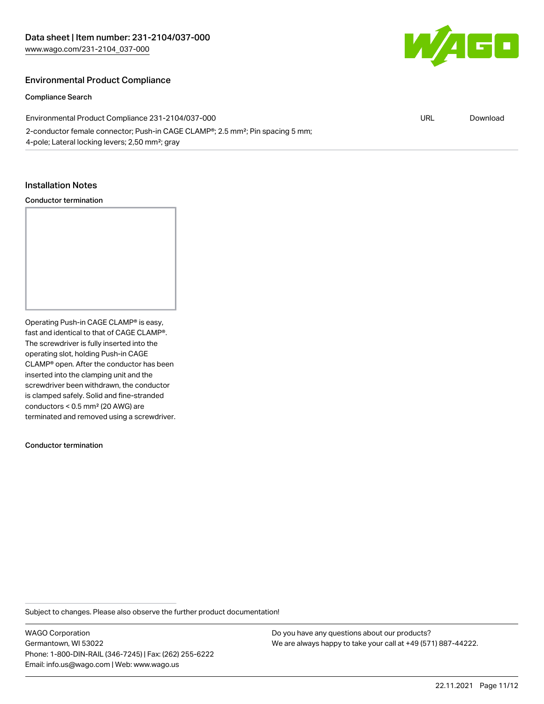

#### Environmental Product Compliance

#### Compliance Search

| Environmental Product Compliance 231-2104/037-000                                                       | URL | Download |
|---------------------------------------------------------------------------------------------------------|-----|----------|
| 2-conductor female connector; Push-in CAGE CLAMP <sup>®</sup> ; 2.5 mm <sup>2</sup> ; Pin spacing 5 mm; |     |          |
| 4-pole; Lateral locking levers; 2,50 mm <sup>2</sup> ; gray                                             |     |          |

#### Installation Notes

#### Conductor termination

Operating Push-in CAGE CLAMP® is easy, fast and identical to that of CAGE CLAMP®. The screwdriver is fully inserted into the operating slot, holding Push-in CAGE CLAMP® open. After the conductor has been inserted into the clamping unit and the screwdriver been withdrawn, the conductor is clamped safely. Solid and fine-stranded conductors < 0.5 mm² (20 AWG) are terminated and removed using a screwdriver.

Conductor termination

Subject to changes. Please also observe the further product documentation!

WAGO Corporation Germantown, WI 53022 Phone: 1-800-DIN-RAIL (346-7245) | Fax: (262) 255-6222 Email: info.us@wago.com | Web: www.wago.us